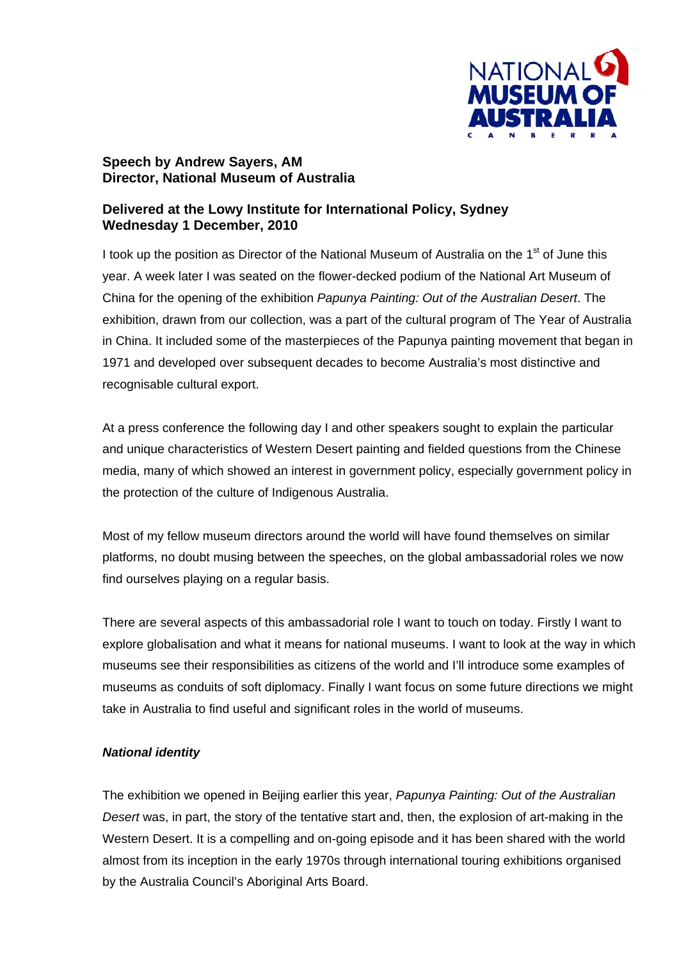

# **Speech by Andrew Sayers, AM Director, National Museum of Australia**

# **Delivered at the Lowy Institute for International Policy, Sydney Wednesday 1 December, 2010**

I took up the position as Director of the National Museum of Australia on the  $1<sup>st</sup>$  of June this year. A week later I was seated on the flower-decked podium of the National Art Museum of China for the opening of the exhibition *Papunya Painting: Out of the Australian Desert*. The exhibition, drawn from our collection, was a part of the cultural program of The Year of Australia in China. It included some of the masterpieces of the Papunya painting movement that began in 1971 and developed over subsequent decades to become Australia's most distinctive and recognisable cultural export.

At a press conference the following day I and other speakers sought to explain the particular and unique characteristics of Western Desert painting and fielded questions from the Chinese media, many of which showed an interest in government policy, especially government policy in the protection of the culture of Indigenous Australia.

Most of my fellow museum directors around the world will have found themselves on similar platforms, no doubt musing between the speeches, on the global ambassadorial roles we now find ourselves playing on a regular basis.

There are several aspects of this ambassadorial role I want to touch on today. Firstly I want to explore globalisation and what it means for national museums. I want to look at the way in which museums see their responsibilities as citizens of the world and I'll introduce some examples of museums as conduits of soft diplomacy. Finally I want focus on some future directions we might take in Australia to find useful and significant roles in the world of museums.

### *National identity*

The exhibition we opened in Beijing earlier this year, *Papunya Painting: Out of the Australian Desert* was, in part, the story of the tentative start and, then, the explosion of art-making in the Western Desert. It is a compelling and on-going episode and it has been shared with the world almost from its inception in the early 1970s through international touring exhibitions organised by the Australia Council's Aboriginal Arts Board.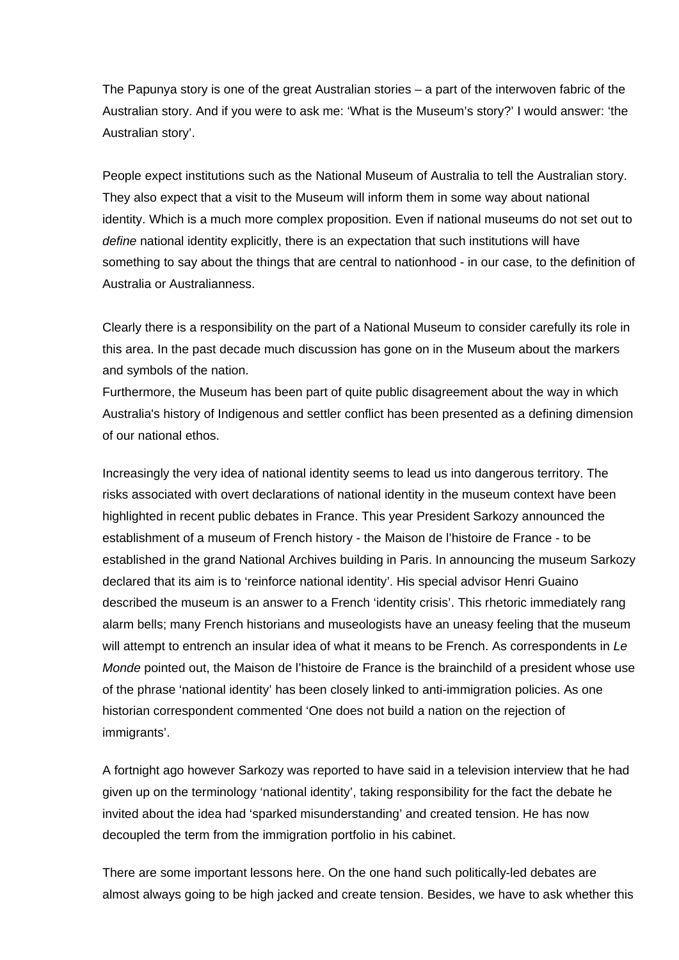The Papunya story is one of the great Australian stories – a part of the interwoven fabric of the Australian story. And if you were to ask me: 'What is the Museum's story?' I would answer: 'the Australian story'.

People expect institutions such as the National Museum of Australia to tell the Australian story. They also expect that a visit to the Museum will inform them in some way about national identity. Which is a much more complex proposition. Even if national museums do not set out to *define* national identity explicitly, there is an expectation that such institutions will have something to say about the things that are central to nationhood - in our case, to the definition of Australia or Australianness.

Clearly there is a responsibility on the part of a National Museum to consider carefully its role in this area. In the past decade much discussion has gone on in the Museum about the markers and symbols of the nation.

Furthermore, the Museum has been part of quite public disagreement about the way in which Australia's history of Indigenous and settler conflict has been presented as a defining dimension of our national ethos.

Increasingly the very idea of national identity seems to lead us into dangerous territory. The risks associated with overt declarations of national identity in the museum context have been highlighted in recent public debates in France. This year President Sarkozy announced the establishment of a museum of French history - the Maison de l'histoire de France - to be established in the grand National Archives building in Paris. In announcing the museum Sarkozy declared that its aim is to 'reinforce national identity'. His special advisor Henri Guaino described the museum is an answer to a French 'identity crisis'. This rhetoric immediately rang alarm bells; many French historians and museologists have an uneasy feeling that the museum will attempt to entrench an insular idea of what it means to be French. As correspondents in *Le Monde* pointed out, the Maison de l'histoire de France is the brainchild of a president whose use of the phrase 'national identity' has been closely linked to anti-immigration policies. As one historian correspondent commented 'One does not build a nation on the rejection of immigrants'.

A fortnight ago however Sarkozy was reported to have said in a television interview that he had given up on the terminology 'national identity', taking responsibility for the fact the debate he invited about the idea had 'sparked misunderstanding' and created tension. He has now decoupled the term from the immigration portfolio in his cabinet.

There are some important lessons here. On the one hand such politically-led debates are almost always going to be high jacked and create tension. Besides, we have to ask whether this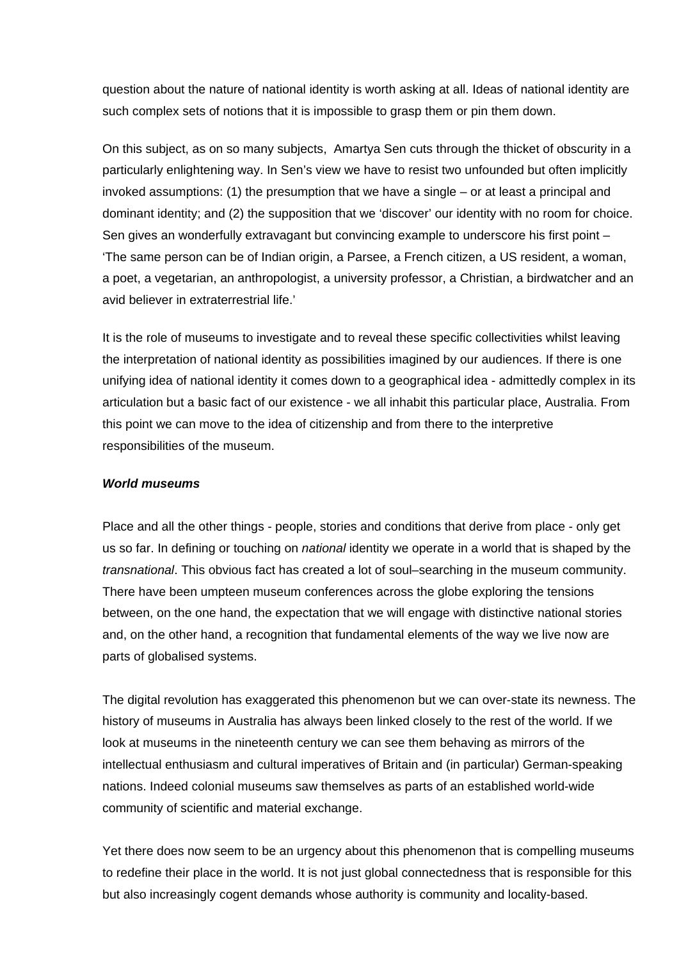question about the nature of national identity is worth asking at all. Ideas of national identity are such complex sets of notions that it is impossible to grasp them or pin them down.

On this subject, as on so many subjects, Amartya Sen cuts through the thicket of obscurity in a particularly enlightening way. In Sen's view we have to resist two unfounded but often implicitly invoked assumptions: (1) the presumption that we have a single – or at least a principal and dominant identity; and (2) the supposition that we 'discover' our identity with no room for choice. Sen gives an wonderfully extravagant but convincing example to underscore his first point – 'The same person can be of Indian origin, a Parsee, a French citizen, a US resident, a woman, a poet, a vegetarian, an anthropologist, a university professor, a Christian, a birdwatcher and an avid believer in extraterrestrial life.'

It is the role of museums to investigate and to reveal these specific collectivities whilst leaving the interpretation of national identity as possibilities imagined by our audiences. If there is one unifying idea of national identity it comes down to a geographical idea - admittedly complex in its articulation but a basic fact of our existence - we all inhabit this particular place, Australia. From this point we can move to the idea of citizenship and from there to the interpretive responsibilities of the museum.

#### *World museums*

Place and all the other things - people, stories and conditions that derive from place - only get us so far. In defining or touching on *national* identity we operate in a world that is shaped by the *transnational*. This obvious fact has created a lot of soul–searching in the museum community. There have been umpteen museum conferences across the globe exploring the tensions between, on the one hand, the expectation that we will engage with distinctive national stories and, on the other hand, a recognition that fundamental elements of the way we live now are parts of globalised systems.

The digital revolution has exaggerated this phenomenon but we can over-state its newness. The history of museums in Australia has always been linked closely to the rest of the world. If we look at museums in the nineteenth century we can see them behaving as mirrors of the intellectual enthusiasm and cultural imperatives of Britain and (in particular) German-speaking nations. Indeed colonial museums saw themselves as parts of an established world-wide community of scientific and material exchange.

Yet there does now seem to be an urgency about this phenomenon that is compelling museums to redefine their place in the world. It is not just global connectedness that is responsible for this but also increasingly cogent demands whose authority is community and locality-based.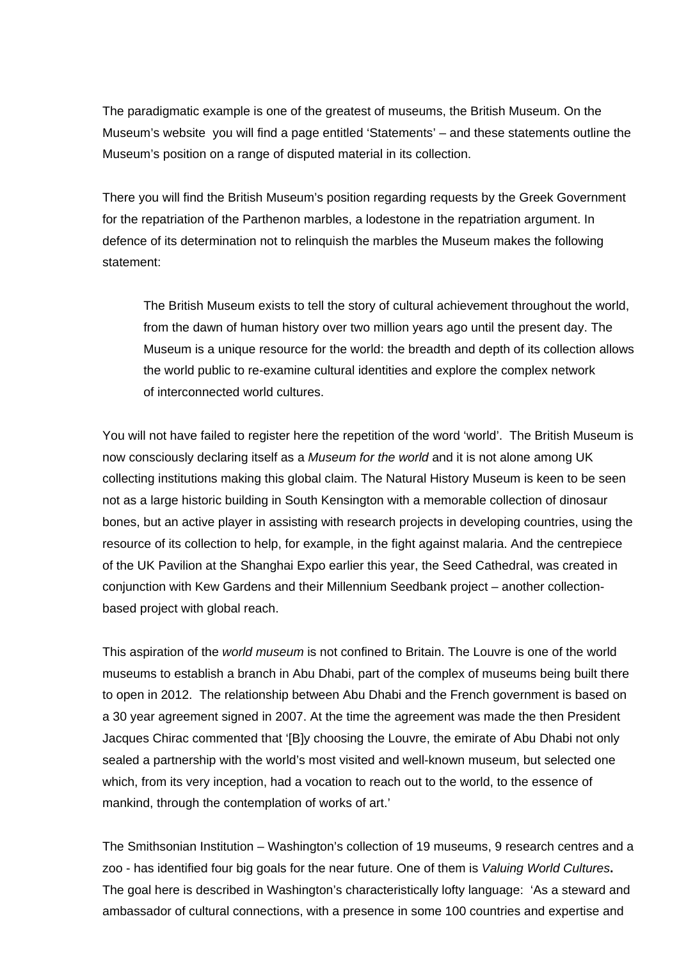The paradigmatic example is one of the greatest of museums, the British Museum. On the Museum's website you will find a page entitled 'Statements' – and these statements outline the Museum's position on a range of disputed material in its collection.

There you will find the British Museum's position regarding requests by the Greek Government for the repatriation of the Parthenon marbles, a lodestone in the repatriation argument. In defence of its determination not to relinquish the marbles the Museum makes the following statement:

The British Museum exists to tell the story of cultural achievement throughout the world, from the dawn of human history over two million years ago until the present day. The Museum is a unique resource for the world: the breadth and depth of its collection allows the world public to re-examine cultural identities and explore the complex network of interconnected world cultures.

You will not have failed to register here the repetition of the word 'world'. The British Museum is now consciously declaring itself as a *Museum for the world* and it is not alone among UK collecting institutions making this global claim. The Natural History Museum is keen to be seen not as a large historic building in South Kensington with a memorable collection of dinosaur bones, but an active player in assisting with research projects in developing countries, using the resource of its collection to help, for example, in the fight against malaria. And the centrepiece of the UK Pavilion at the Shanghai Expo earlier this year, the Seed Cathedral, was created in conjunction with Kew Gardens and their Millennium Seedbank project – another collectionbased project with global reach.

This aspiration of the *world museum* is not confined to Britain. The Louvre is one of the world museums to establish a branch in Abu Dhabi, part of the complex of museums being built there to open in 2012. The relationship between Abu Dhabi and the French government is based on a 30 year agreement signed in 2007. At the time the agreement was made the then President Jacques Chirac commented that '[B]y choosing the Louvre, the emirate of Abu Dhabi not only sealed a partnership with the world's most visited and well-known museum, but selected one which, from its very inception, had a vocation to reach out to the world, to the essence of mankind, through the contemplation of works of art.'

The Smithsonian Institution – Washington's collection of 19 museums, 9 research centres and a zoo - has identified four big goals for the near future. One of them is *Valuing World Cultures***.**  The goal here is described in Washington's characteristically lofty language: 'As a steward and ambassador of cultural connections, with a presence in some 100 countries and expertise and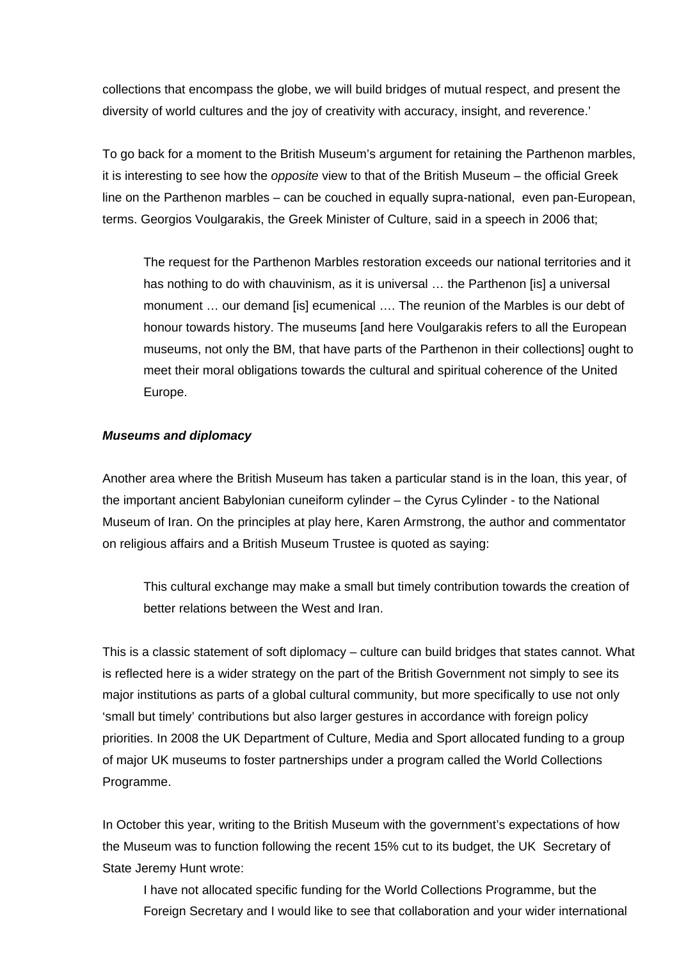collections that encompass the globe, we will build bridges of mutual respect, and present the diversity of world cultures and the joy of creativity with accuracy, insight, and reverence.'

To go back for a moment to the British Museum's argument for retaining the Parthenon marbles, it is interesting to see how the *opposite* view to that of the British Museum – the official Greek line on the Parthenon marbles – can be couched in equally supra-national, even pan-European, terms. Georgios Voulgarakis, the Greek Minister of Culture, said in a speech in 2006 that;

The request for the Parthenon Marbles restoration exceeds our national territories and it has nothing to do with chauvinism, as it is universal ... the Parthenon [is] a universal monument … our demand [is] ecumenical …. The reunion of the Marbles is our debt of honour towards history. The museums [and here Voulgarakis refers to all the European museums, not only the BM, that have parts of the Parthenon in their collections] ought to meet their moral obligations towards the cultural and spiritual coherence of the United Europe.

#### *Museums and diplomacy*

Another area where the British Museum has taken a particular stand is in the loan, this year, of the important ancient Babylonian cuneiform cylinder – the Cyrus Cylinder - to the National Museum of Iran. On the principles at play here, Karen Armstrong, the author and commentator on religious affairs and a British Museum Trustee is quoted as saying:

This cultural exchange may make a small but timely contribution towards the creation of better relations between the West and Iran.

This is a classic statement of soft diplomacy – culture can build bridges that states cannot. What is reflected here is a wider strategy on the part of the British Government not simply to see its major institutions as parts of a global cultural community, but more specifically to use not only 'small but timely' contributions but also larger gestures in accordance with foreign policy priorities. In 2008 the UK Department of Culture, Media and Sport allocated funding to a group of major UK museums to foster partnerships under a program called the World Collections Programme.

In October this year, writing to the British Museum with the government's expectations of how the Museum was to function following the recent 15% cut to its budget, the UK Secretary of State Jeremy Hunt wrote:

I have not allocated specific funding for the World Collections Programme, but the Foreign Secretary and I would like to see that collaboration and your wider international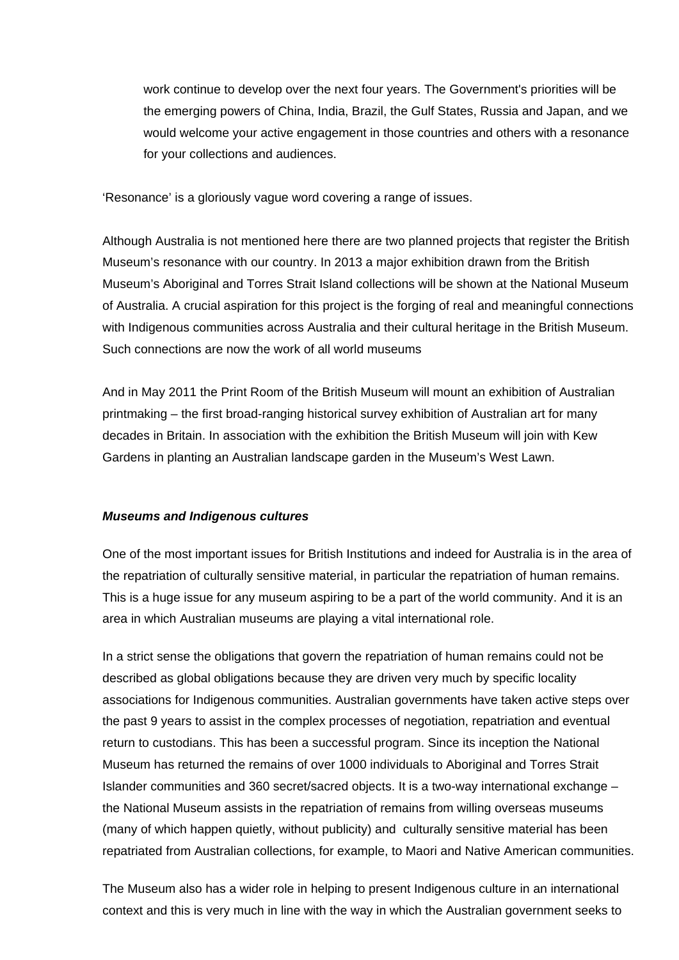work continue to develop over the next four years. The Government's priorities will be the emerging powers of China, India, Brazil, the Gulf States, Russia and Japan, and we would welcome your active engagement in those countries and others with a resonance for your collections and audiences.

'Resonance' is a gloriously vague word covering a range of issues.

Although Australia is not mentioned here there are two planned projects that register the British Museum's resonance with our country. In 2013 a major exhibition drawn from the British Museum's Aboriginal and Torres Strait Island collections will be shown at the National Museum of Australia. A crucial aspiration for this project is the forging of real and meaningful connections with Indigenous communities across Australia and their cultural heritage in the British Museum. Such connections are now the work of all world museums

And in May 2011 the Print Room of the British Museum will mount an exhibition of Australian printmaking – the first broad-ranging historical survey exhibition of Australian art for many decades in Britain. In association with the exhibition the British Museum will join with Kew Gardens in planting an Australian landscape garden in the Museum's West Lawn.

### *Museums and Indigenous cultures*

One of the most important issues for British Institutions and indeed for Australia is in the area of the repatriation of culturally sensitive material, in particular the repatriation of human remains. This is a huge issue for any museum aspiring to be a part of the world community. And it is an area in which Australian museums are playing a vital international role.

In a strict sense the obligations that govern the repatriation of human remains could not be described as global obligations because they are driven very much by specific locality associations for Indigenous communities. Australian governments have taken active steps over the past 9 years to assist in the complex processes of negotiation, repatriation and eventual return to custodians. This has been a successful program. Since its inception the National Museum has returned the remains of over 1000 individuals to Aboriginal and Torres Strait Islander communities and 360 secret/sacred objects. It is a two-way international exchange – the National Museum assists in the repatriation of remains from willing overseas museums (many of which happen quietly, without publicity) and culturally sensitive material has been repatriated from Australian collections, for example, to Maori and Native American communities.

The Museum also has a wider role in helping to present Indigenous culture in an international context and this is very much in line with the way in which the Australian government seeks to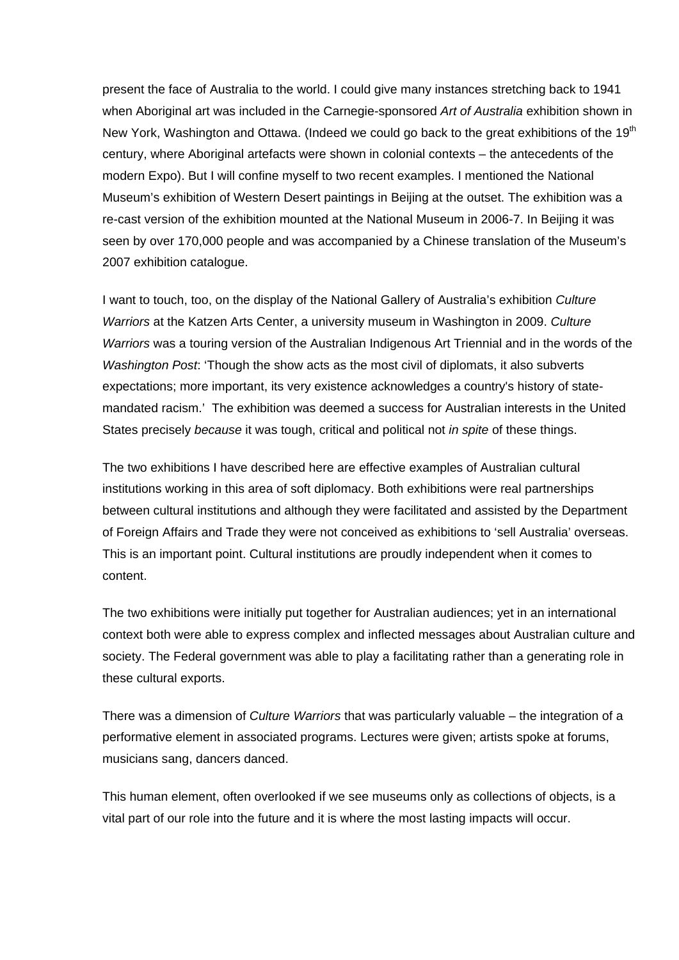present the face of Australia to the world. I could give many instances stretching back to 1941 when Aboriginal art was included in the Carnegie-sponsored *Art of Australia* exhibition shown in New York, Washington and Ottawa. (Indeed we could go back to the great exhibitions of the 19<sup>th</sup> century, where Aboriginal artefacts were shown in colonial contexts – the antecedents of the modern Expo). But I will confine myself to two recent examples. I mentioned the National Museum's exhibition of Western Desert paintings in Beijing at the outset. The exhibition was a re-cast version of the exhibition mounted at the National Museum in 2006-7. In Beijing it was seen by over 170,000 people and was accompanied by a Chinese translation of the Museum's 2007 exhibition catalogue.

I want to touch, too, on the display of the National Gallery of Australia's exhibition *Culture Warriors* at the Katzen Arts Center, a university museum in Washington in 2009. *Culture Warriors* was a touring version of the Australian Indigenous Art Triennial and in the words of the *Washington Post*: 'Though the show acts as the most civil of diplomats, it also subverts expectations; more important, its very existence acknowledges a country's history of statemandated racism.' The exhibition was deemed a success for Australian interests in the United States precisely *because* it was tough, critical and political not *in spite* of these things.

The two exhibitions I have described here are effective examples of Australian cultural institutions working in this area of soft diplomacy. Both exhibitions were real partnerships between cultural institutions and although they were facilitated and assisted by the Department of Foreign Affairs and Trade they were not conceived as exhibitions to 'sell Australia' overseas. This is an important point. Cultural institutions are proudly independent when it comes to content.

The two exhibitions were initially put together for Australian audiences; yet in an international context both were able to express complex and inflected messages about Australian culture and society. The Federal government was able to play a facilitating rather than a generating role in these cultural exports.

There was a dimension of *Culture Warriors* that was particularly valuable – the integration of a performative element in associated programs. Lectures were given; artists spoke at forums, musicians sang, dancers danced.

This human element, often overlooked if we see museums only as collections of objects, is a vital part of our role into the future and it is where the most lasting impacts will occur.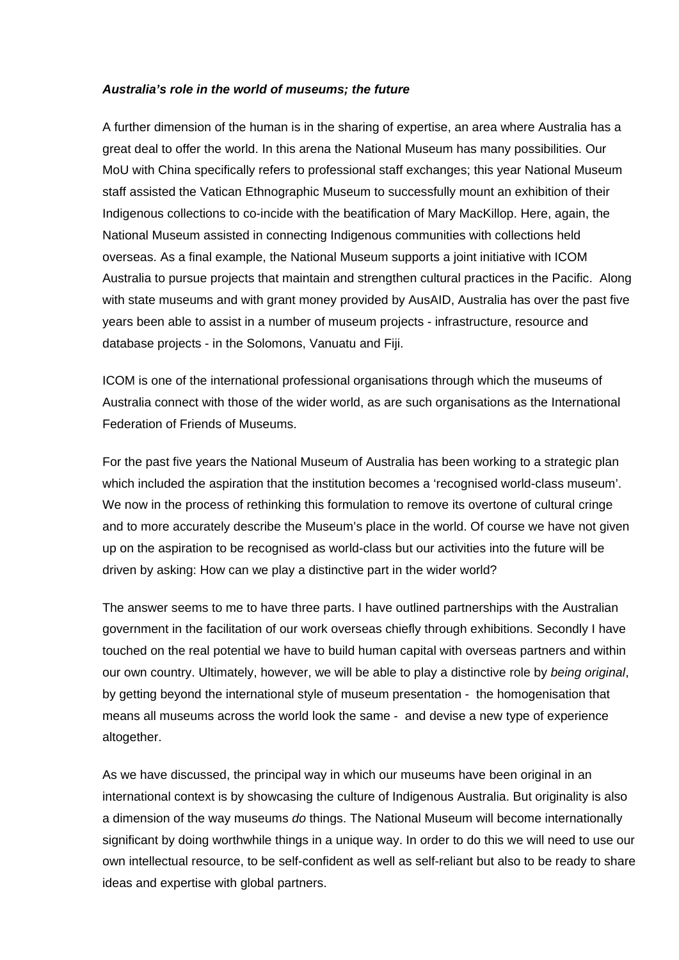#### *Australia's role in the world of museums; the future*

A further dimension of the human is in the sharing of expertise, an area where Australia has a great deal to offer the world. In this arena the National Museum has many possibilities. Our MoU with China specifically refers to professional staff exchanges; this year National Museum staff assisted the Vatican Ethnographic Museum to successfully mount an exhibition of their Indigenous collections to co-incide with the beatification of Mary MacKillop. Here, again, the National Museum assisted in connecting Indigenous communities with collections held overseas. As a final example, the National Museum supports a joint initiative with ICOM Australia to pursue projects that maintain and strengthen cultural practices in the Pacific. Along with state museums and with grant money provided by AusAID, Australia has over the past five years been able to assist in a number of museum projects - infrastructure, resource and database projects - in the Solomons, Vanuatu and Fiji.

ICOM is one of the international professional organisations through which the museums of Australia connect with those of the wider world, as are such organisations as the International Federation of Friends of Museums.

For the past five years the National Museum of Australia has been working to a strategic plan which included the aspiration that the institution becomes a 'recognised world-class museum'. We now in the process of rethinking this formulation to remove its overtone of cultural cringe and to more accurately describe the Museum's place in the world. Of course we have not given up on the aspiration to be recognised as world-class but our activities into the future will be driven by asking: How can we play a distinctive part in the wider world?

The answer seems to me to have three parts. I have outlined partnerships with the Australian government in the facilitation of our work overseas chiefly through exhibitions. Secondly I have touched on the real potential we have to build human capital with overseas partners and within our own country. Ultimately, however, we will be able to play a distinctive role by *being original*, by getting beyond the international style of museum presentation - the homogenisation that means all museums across the world look the same - and devise a new type of experience altogether.

As we have discussed, the principal way in which our museums have been original in an international context is by showcasing the culture of Indigenous Australia. But originality is also a dimension of the way museums *do* things. The National Museum will become internationally significant by doing worthwhile things in a unique way. In order to do this we will need to use our own intellectual resource, to be self-confident as well as self-reliant but also to be ready to share ideas and expertise with global partners.